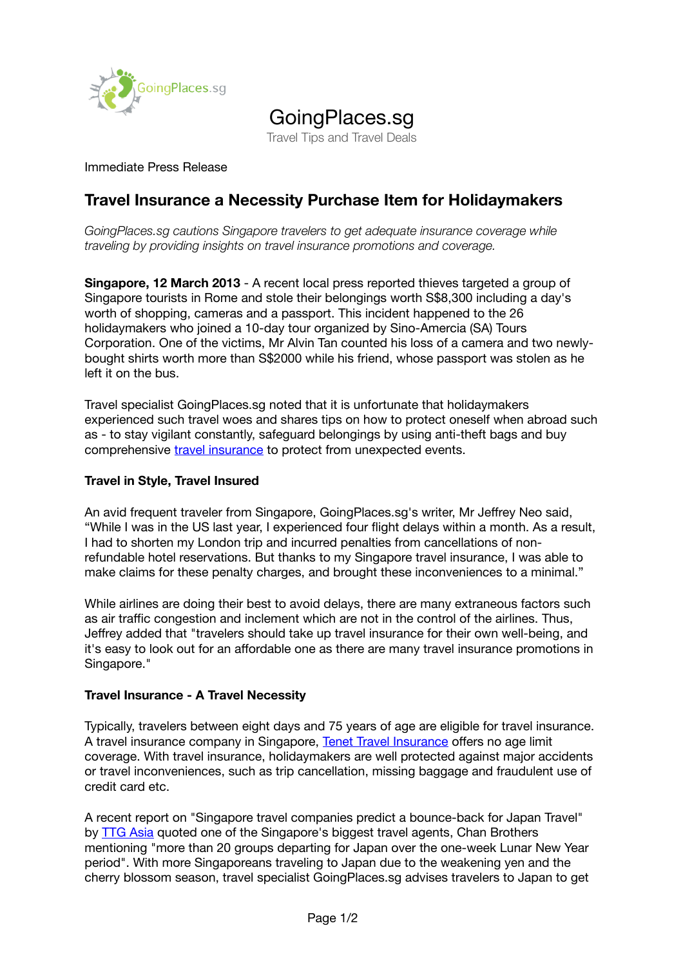

# GoingPlaces.sg

Travel Tips and Travel Deals

### Immediate Press Release

# **Travel Insurance a Necessity Purchase Item for Holidaymakers**

*GoingPlaces.sg cautions Singapore travelers to get adequate insurance coverage while traveling by providing insights on travel insurance promotions and coverage.* 

**Singapore, 12 March 2013** - A recent local press reported thieves targeted a group of Singapore tourists in Rome and stole their belongings worth S\$8,300 including a day's worth of shopping, cameras and a passport. This incident happened to the 26 holidaymakers who joined a 10-day tour organized by Sino-Amercia (SA) Tours Corporation. One of the victims, Mr Alvin Tan counted his loss of a camera and two newlybought shirts worth more than S\$2000 while his friend, whose passport was stolen as he left it on the bus.

Travel specialist GoingPlaces.sg noted that it is unfortunate that holidaymakers experienced such travel woes and shares tips on how to protect oneself when abroad such as - to stay vigilant constantly, safeguard belongings by using anti-theft bags and buy comprehensive [travel insurance](http://www.goingplaces.sg/travel-insurance/) to protect from unexpected events.

#### **Travel in Style, Travel Insured**

An avid frequent traveler from Singapore, GoingPlaces.sg's writer, Mr Jeffrey Neo said, "While I was in the US last year, I experienced four flight delays within a month. As a result, I had to shorten my London trip and incurred penalties from cancellations of nonrefundable hotel reservations. But thanks to my Singapore travel insurance, I was able to make claims for these penalty charges, and brought these inconveniences to a minimal."

While airlines are doing their best to avoid delays, there are many extraneous factors such as air traffic congestion and inclement which are not in the control of the airlines. Thus, Jeffrey added that "travelers should take up travel insurance for their own well-being, and it's easy to look out for an affordable one as there are many travel insurance promotions in Singapore."

#### **Travel Insurance - A Travel Necessity**

Typically, travelers between eight days and 75 years of age are eligible for travel insurance. A travel insurance company in Singapore, [Tenet Travel Insurance](http://www.goingplaces.sg/tenet-travel-insurance/) offers no age limit coverage. With travel insurance, holidaymakers are well protected against major accidents or travel inconveniences, such as trip cancellation, missing baggage and fraudulent use of credit card etc.

A recent report on "Singapore travel companies predict a bounce-back for Japan Travel" by  $\overline{ITG}$  Asia quoted one of the Singapore's biggest travel agents, Chan Brothers mentioning "more than 20 groups departing for Japan over the one-week Lunar New Year period". With more Singaporeans traveling to Japan due to the weakening yen and the cherry blossom season, travel specialist GoingPlaces.sg advises travelers to Japan to get